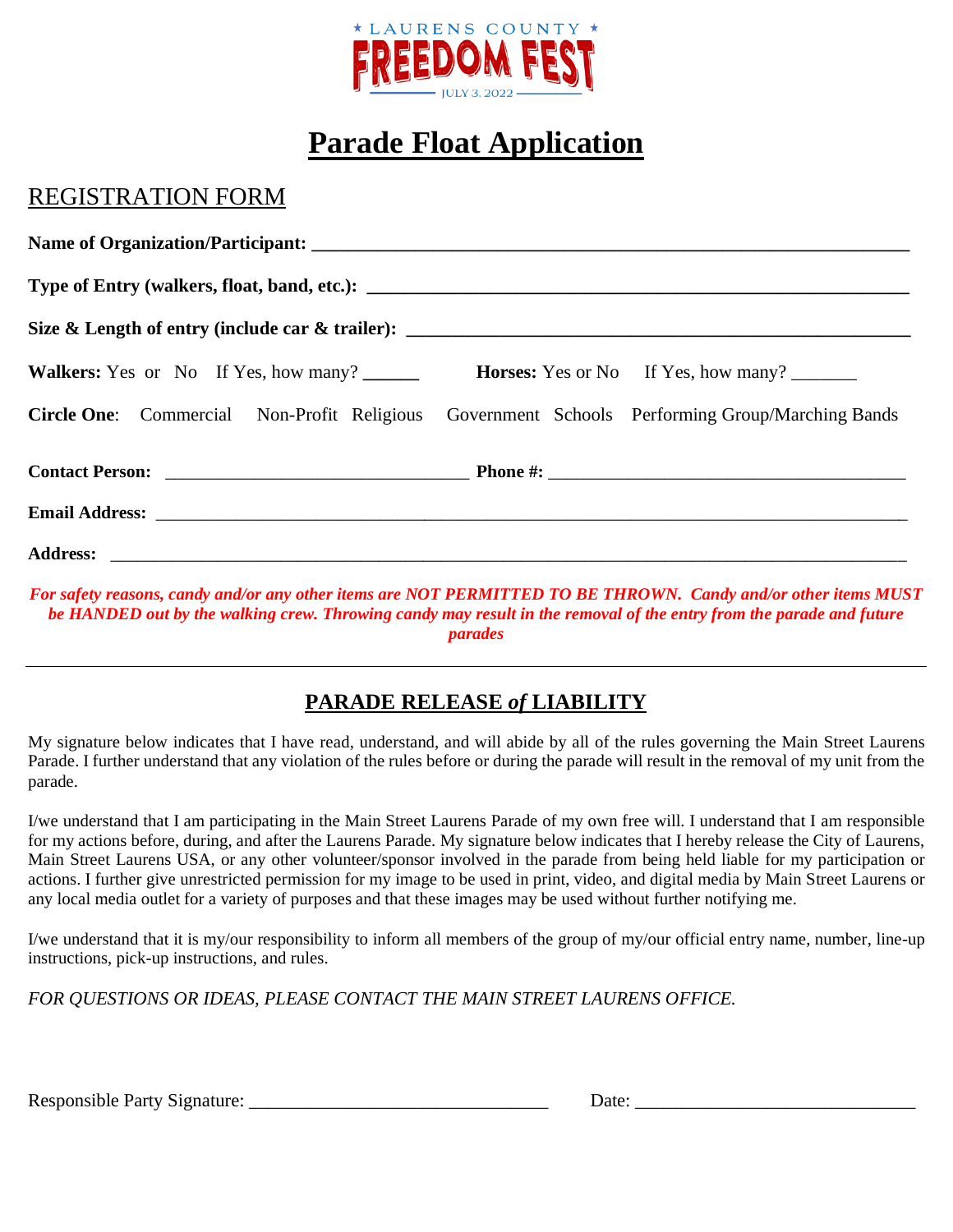

## **Parade Float Application**

### REGISTRATION FORM

| <b>Walkers:</b> Yes or No If Yes, how many? |                                                                                                       |
|---------------------------------------------|-------------------------------------------------------------------------------------------------------|
|                                             | <b>Circle One:</b> Commercial Non-Profit Religious Government Schools Performing Group/Marching Bands |
|                                             |                                                                                                       |
|                                             |                                                                                                       |
|                                             |                                                                                                       |

For safety reasons, candy and/or any other items are NOT PERMITTED TO BE THROWN. Candy and/or other items MUST be HANDED out by the walking crew. Throwing candy may result in the removal of the entry from the parade and future *parades*

### **PARADE RELEASE** *of* **LIABILITY**

My signature below indicates that I have read, understand, and will abide by all of the rules governing the Main Street Laurens Parade. I further understand that any violation of the rules before or during the parade will result in the removal of my unit from the parade.

I/we understand that I am participating in the Main Street Laurens Parade of my own free will. I understand that I am responsible for my actions before, during, and after the Laurens Parade. My signature below indicates that I hereby release the City of Laurens, Main Street Laurens USA, or any other volunteer/sponsor involved in the parade from being held liable for my participation or actions. I further give unrestricted permission for my image to be used in print, video, and digital media by Main Street Laurens or any local media outlet for a variety of purposes and that these images may be used without further notifying me.

I/we understand that it is my/our responsibility to inform all members of the group of my/our official entry name, number, line-up instructions, pick-up instructions, and rules.

*FOR QUESTIONS OR IDEAS, PLEASE CONTACT THE MAIN STREET LAURENS OFFICE.*

Responsible Party Signature: \_\_\_\_\_\_\_\_\_\_\_\_\_\_\_\_\_\_\_\_\_\_\_\_\_\_\_\_\_\_\_\_ Date: \_\_\_\_\_\_\_\_\_\_\_\_\_\_\_\_\_\_\_\_\_\_\_\_\_\_\_\_\_\_